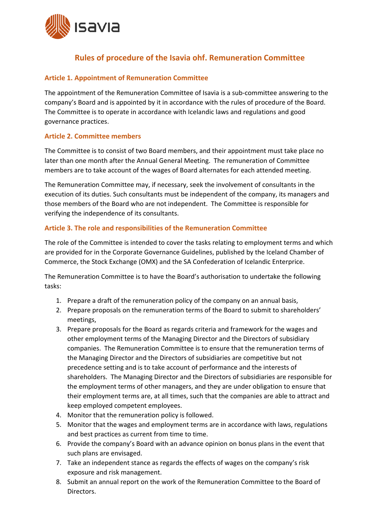

# **Rules of procedure of the Isavia ohf. Remuneration Committee**

## **Article 1. Appointment of Remuneration Committee**

The appointment of the Remuneration Committee of Isavia is a sub‐committee answering to the company's Board and is appointed by it in accordance with the rules of procedure of the Board. The Committee is to operate in accordance with Icelandic laws and regulations and good governance practices.

## **Article 2. Committee members**

The Committee is to consist of two Board members, and their appointment must take place no later than one month after the Annual General Meeting. The remuneration of Committee members are to take account of the wages of Board alternates for each attended meeting.

The Remuneration Committee may, if necessary, seek the involvement of consultants in the execution of its duties. Such consultants must be independent of the company, its managers and those members of the Board who are not independent. The Committee is responsible for verifying the independence of its consultants.

## **Article 3. The role and responsibilities of the Remuneration Committee**

The role of the Committee is intended to cover the tasks relating to employment terms and which are provided for in the Corporate Governance Guidelines, published by the Iceland Chamber of Commerce, the Stock Exchange (OMX) and the SA Confederation of Icelandic Enterprice.

The Remuneration Committee is to have the Board's authorisation to undertake the following tasks:

- 1. Prepare a draft of the remuneration policy of the company on an annual basis,
- 2. Prepare proposals on the remuneration terms of the Board to submit to shareholders' meetings,
- 3. Prepare proposals for the Board as regards criteria and framework for the wages and other employment terms of the Managing Director and the Directors of subsidiary companies. The Remuneration Committee is to ensure that the remuneration terms of the Managing Director and the Directors of subsidiaries are competitive but not precedence setting and is to take account of performance and the interests of shareholders. The Managing Director and the Directors of subsidiaries are responsible for the employment terms of other managers, and they are under obligation to ensure that their employment terms are, at all times, such that the companies are able to attract and keep employed competent employees.
- 4. Monitor that the remuneration policy is followed.
- 5. Monitor that the wages and employment terms are in accordance with laws, regulations and best practices as current from time to time.
- 6. Provide the company's Board with an advance opinion on bonus plans in the event that such plans are envisaged.
- 7. Take an independent stance as regards the effects of wages on the company's risk exposure and risk management.
- 8. Submit an annual report on the work of the Remuneration Committee to the Board of Directors.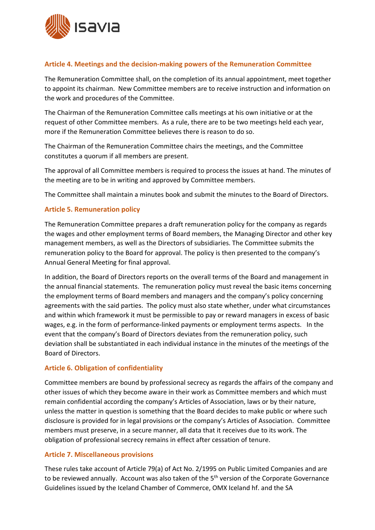

## **Article 4. Meetings and the decision‐making powers of the Remuneration Committee**

The Remuneration Committee shall, on the completion of its annual appointment, meet together to appoint its chairman. New Committee members are to receive instruction and information on the work and procedures of the Committee.

The Chairman of the Remuneration Committee calls meetings at his own initiative or at the request of other Committee members. As a rule, there are to be two meetings held each year, more if the Remuneration Committee believes there is reason to do so.

The Chairman of the Remuneration Committee chairs the meetings, and the Committee constitutes a quorum if all members are present.

The approval of all Committee members is required to process the issues at hand. The minutes of the meeting are to be in writing and approved by Committee members.

The Committee shall maintain a minutes book and submit the minutes to the Board of Directors.

## **Article 5. Remuneration policy**

The Remuneration Committee prepares a draft remuneration policy for the company as regards the wages and other employment terms of Board members, the Managing Director and other key management members, as well as the Directors of subsidiaries. The Committee submits the remuneration policy to the Board for approval. The policy is then presented to the company's Annual General Meeting for final approval.

In addition, the Board of Directors reports on the overall terms of the Board and management in the annual financial statements. The remuneration policy must reveal the basic items concerning the employment terms of Board members and managers and the company's policy concerning agreements with the said parties. The policy must also state whether, under what circumstances and within which framework it must be permissible to pay or reward managers in excess of basic wages, e.g. in the form of performance-linked payments or employment terms aspects. In the event that the company's Board of Directors deviates from the remuneration policy, such deviation shall be substantiated in each individual instance in the minutes of the meetings of the Board of Directors.

## **Article 6. Obligation of confidentiality**

Committee members are bound by professional secrecy as regards the affairs of the company and other issues of which they become aware in their work as Committee members and which must remain confidential according the company's Articles of Association, laws or by their nature, unless the matter in question is something that the Board decides to make public or where such disclosure is provided for in legal provisions or the company's Articles of Association. Committee members must preserve, in a secure manner, all data that it receives due to its work. The obligation of professional secrecy remains in effect after cessation of tenure.

## **Article 7. Miscellaneous provisions**

These rules take account of Article 79(a) of Act No. 2/1995 on Public Limited Companies and are to be reviewed annually. Account was also taken of the 5<sup>th</sup> version of the Corporate Governance Guidelines issued by the Iceland Chamber of Commerce, OMX Iceland hf. and the SA